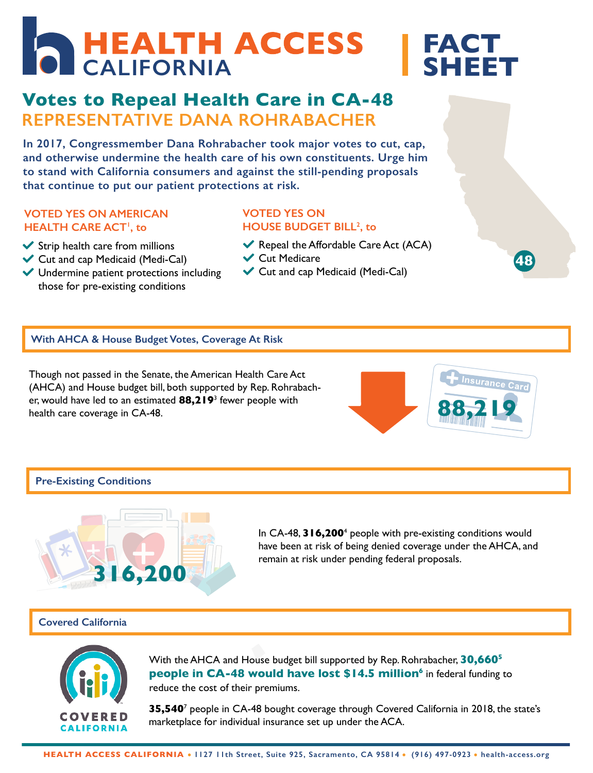# **FACT SHEET CALIFORNIA**

# **REPRESENTATIVE DANA ROHRABACHER Votes to Repeal Health Care in CA-48**

**In 2017, Congressmember Dana Rohrabacher took major votes to cut, cap, and otherwise undermine the health care of his own constituents. Urge him to stand with California consumers and against the still-pending proposals that continue to put our patient protections at risk. Product COVERENT**<br> *Judge him*<br> *Proposals* 

### **VOTED YES ON AMERICAN HEALTH CARE ACT1 , to**

- $\blacktriangleright$  Strip health care from millions
- Cut and cap Medicaid (Medi-Cal)
- Undermine patient protections including those for pre-existing conditions

# **VOTED YES ON HOUSE BUDGET BILL2 , to**

- Repeal the Affordable Care Act  $(ACA)$
- **↓** Cut Medicare
- Cut and cap Medicaid (Medi-Cal)

# **With AHCA & House Budget Votes, Coverage At Risk**

Though not passed in the Senate, the American Health Care Act (AHCA) and House budget bill, both supported by Rep. Rohrabacher, would have led to an estimated **88,219**<sup>3</sup> fewer people with health care coverage in CA-48.



**48**

### **Pre-Existing Conditions**



In CA-48, **316,200**<sup>4</sup> people with pre-existing conditions would have been at risk of being denied coverage under the AHCA, and remain at risk under pending federal proposals.

### **Covered California**



With the AHCA and House budget bill supported by Rep. Rohrabacher, **30,6605 people in CA-48 would have lost \$14.5 million<sup>6</sup> in federal funding to** reduce the cost of their premiums.

**35,540**<sup>7</sup> people in CA-48 bought coverage through Covered California in 2018, the state's marketplace for individual insurance set up under the ACA.